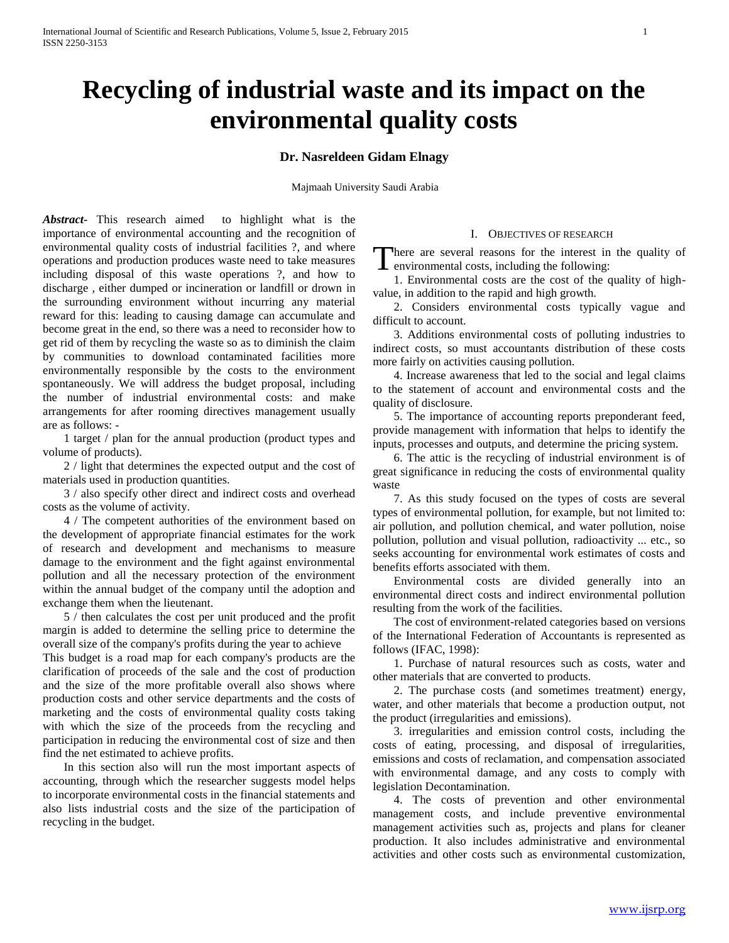# **Recycling of industrial waste and its impact on the environmental quality costs**

# **Dr. Nasreldeen Gidam Elnagy**

Majmaah University Saudi Arabia

*Abstract***-** This research aimed to highlight what is the importance of environmental accounting and the recognition of environmental quality costs of industrial facilities ?, and where operations and production produces waste need to take measures including disposal of this waste operations ?, and how to discharge , either dumped or incineration or landfill or drown in the surrounding environment without incurring any material reward for this: leading to causing damage can accumulate and become great in the end, so there was a need to reconsider how to get rid of them by recycling the waste so as to diminish the claim by communities to download contaminated facilities more environmentally responsible by the costs to the environment spontaneously. We will address the budget proposal, including the number of industrial environmental costs: and make arrangements for after rooming directives management usually are as follows: -

 1 target / plan for the annual production (product types and volume of products).

 2 / light that determines the expected output and the cost of materials used in production quantities.

 3 / also specify other direct and indirect costs and overhead costs as the volume of activity.

 4 / The competent authorities of the environment based on the development of appropriate financial estimates for the work of research and development and mechanisms to measure damage to the environment and the fight against environmental pollution and all the necessary protection of the environment within the annual budget of the company until the adoption and exchange them when the lieutenant.

 5 / then calculates the cost per unit produced and the profit margin is added to determine the selling price to determine the overall size of the company's profits during the year to achieve This budget is a road map for each company's products are the clarification of proceeds of the sale and the cost of production and the size of the more profitable overall also shows where production costs and other service departments and the costs of marketing and the costs of environmental quality costs taking with which the size of the proceeds from the recycling and participation in reducing the environmental cost of size and then

 In this section also will run the most important aspects of accounting, through which the researcher suggests model helps to incorporate environmental costs in the financial statements and also lists industrial costs and the size of the participation of recycling in the budget.

find the net estimated to achieve profits.

## I. OBJECTIVES OF RESEARCH

here are several reasons for the interest in the quality of There are several reasons for the interest in<br>environmental costs, including the following:

 1. Environmental costs are the cost of the quality of highvalue, in addition to the rapid and high growth.

 2. Considers environmental costs typically vague and difficult to account.

 3. Additions environmental costs of polluting industries to indirect costs, so must accountants distribution of these costs more fairly on activities causing pollution.

 4. Increase awareness that led to the social and legal claims to the statement of account and environmental costs and the quality of disclosure.

 5. The importance of accounting reports preponderant feed, provide management with information that helps to identify the inputs, processes and outputs, and determine the pricing system.

 6. The attic is the recycling of industrial environment is of great significance in reducing the costs of environmental quality waste

 7. As this study focused on the types of costs are several types of environmental pollution, for example, but not limited to: air pollution, and pollution chemical, and water pollution, noise pollution, pollution and visual pollution, radioactivity ... etc., so seeks accounting for environmental work estimates of costs and benefits efforts associated with them.

 Environmental costs are divided generally into an environmental direct costs and indirect environmental pollution resulting from the work of the facilities.

 The cost of environment-related categories based on versions of the International Federation of Accountants is represented as follows (IFAC, 1998):

 1. Purchase of natural resources such as costs, water and other materials that are converted to products.

 2. The purchase costs (and sometimes treatment) energy, water, and other materials that become a production output, not the product (irregularities and emissions).

 3. irregularities and emission control costs, including the costs of eating, processing, and disposal of irregularities, emissions and costs of reclamation, and compensation associated with environmental damage, and any costs to comply with legislation Decontamination.

 4. The costs of prevention and other environmental management costs, and include preventive environmental management activities such as, projects and plans for cleaner production. It also includes administrative and environmental activities and other costs such as environmental customization,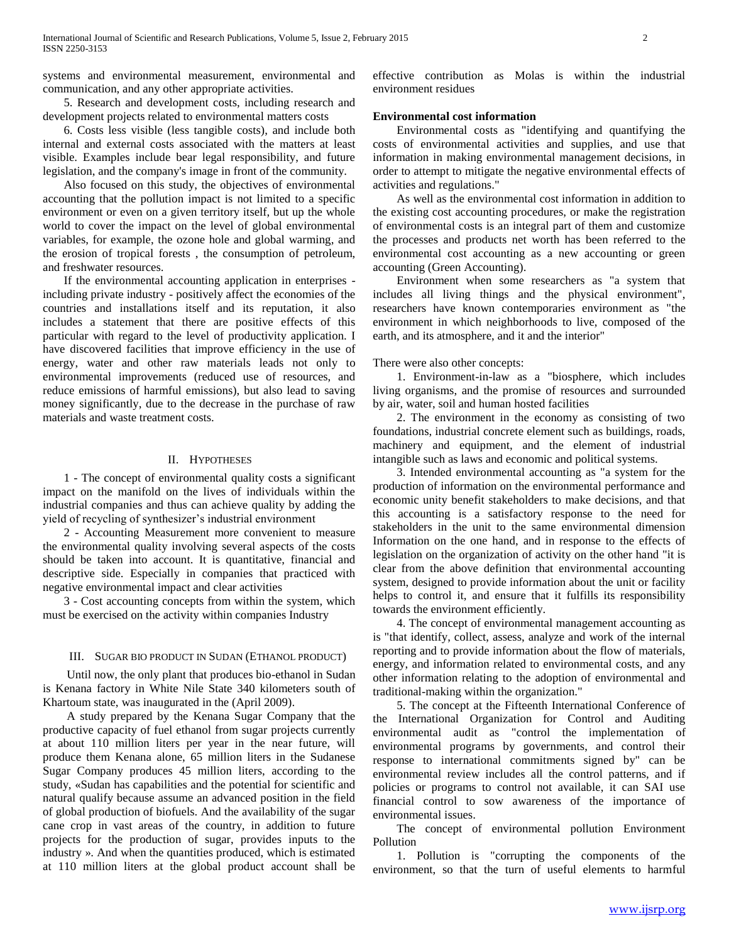systems and environmental measurement, environmental and communication, and any other appropriate activities.

 5. Research and development costs, including research and development projects related to environmental matters costs

 6. Costs less visible (less tangible costs), and include both internal and external costs associated with the matters at least visible. Examples include bear legal responsibility, and future legislation, and the company's image in front of the community.

 Also focused on this study, the objectives of environmental accounting that the pollution impact is not limited to a specific environment or even on a given territory itself, but up the whole world to cover the impact on the level of global environmental variables, for example, the ozone hole and global warming, and the erosion of tropical forests , the consumption of petroleum, and freshwater resources.

 If the environmental accounting application in enterprises including private industry - positively affect the economies of the countries and installations itself and its reputation, it also includes a statement that there are positive effects of this particular with regard to the level of productivity application. I have discovered facilities that improve efficiency in the use of energy, water and other raw materials leads not only to environmental improvements (reduced use of resources, and reduce emissions of harmful emissions), but also lead to saving money significantly, due to the decrease in the purchase of raw materials and waste treatment costs.

## II. HYPOTHESES

 1 - The concept of environmental quality costs a significant impact on the manifold on the lives of individuals within the industrial companies and thus can achieve quality by adding the yield of recycling of synthesizer's industrial environment

 2 - Accounting Measurement more convenient to measure the environmental quality involving several aspects of the costs should be taken into account. It is quantitative, financial and descriptive side. Especially in companies that practiced with negative environmental impact and clear activities

 3 - Cost accounting concepts from within the system, which must be exercised on the activity within companies Industry

#### III. SUGAR BIO PRODUCT IN SUDAN (ETHANOL PRODUCT)

 Until now, the only plant that produces bio-ethanol in Sudan is Kenana factory in White Nile State 340 kilometers south of Khartoum state, was inaugurated in the (April 2009).

 A study prepared by the Kenana Sugar Company that the productive capacity of fuel ethanol from sugar projects currently at about 110 million liters per year in the near future, will produce them Kenana alone, 65 million liters in the Sudanese Sugar Company produces 45 million liters, according to the study, «Sudan has capabilities and the potential for scientific and natural qualify because assume an advanced position in the field of global production of biofuels. And the availability of the sugar cane crop in vast areas of the country, in addition to future projects for the production of sugar, provides inputs to the industry ». And when the quantities produced, which is estimated at 110 million liters at the global product account shall be

effective contribution as Molas is within the industrial environment residues

# **Environmental cost information**

 Environmental costs as "identifying and quantifying the costs of environmental activities and supplies, and use that information in making environmental management decisions, in order to attempt to mitigate the negative environmental effects of activities and regulations."

 As well as the environmental cost information in addition to the existing cost accounting procedures, or make the registration of environmental costs is an integral part of them and customize the processes and products net worth has been referred to the environmental cost accounting as a new accounting or green accounting (Green Accounting).

 Environment when some researchers as "a system that includes all living things and the physical environment", researchers have known contemporaries environment as "the environment in which neighborhoods to live, composed of the earth, and its atmosphere, and it and the interior"

#### There were also other concepts:

 1. Environment-in-law as a "biosphere, which includes living organisms, and the promise of resources and surrounded by air, water, soil and human hosted facilities

 2. The environment in the economy as consisting of two foundations, industrial concrete element such as buildings, roads, machinery and equipment, and the element of industrial intangible such as laws and economic and political systems.

 3. Intended environmental accounting as "a system for the production of information on the environmental performance and economic unity benefit stakeholders to make decisions, and that this accounting is a satisfactory response to the need for stakeholders in the unit to the same environmental dimension Information on the one hand, and in response to the effects of legislation on the organization of activity on the other hand "it is clear from the above definition that environmental accounting system, designed to provide information about the unit or facility helps to control it, and ensure that it fulfills its responsibility towards the environment efficiently.

 4. The concept of environmental management accounting as is "that identify, collect, assess, analyze and work of the internal reporting and to provide information about the flow of materials, energy, and information related to environmental costs, and any other information relating to the adoption of environmental and traditional-making within the organization."

 5. The concept at the Fifteenth International Conference of the International Organization for Control and Auditing environmental audit as "control the implementation of environmental programs by governments, and control their response to international commitments signed by" can be environmental review includes all the control patterns, and if policies or programs to control not available, it can SAI use financial control to sow awareness of the importance of environmental issues.

 The concept of environmental pollution Environment Pollution

 1. Pollution is "corrupting the components of the environment, so that the turn of useful elements to harmful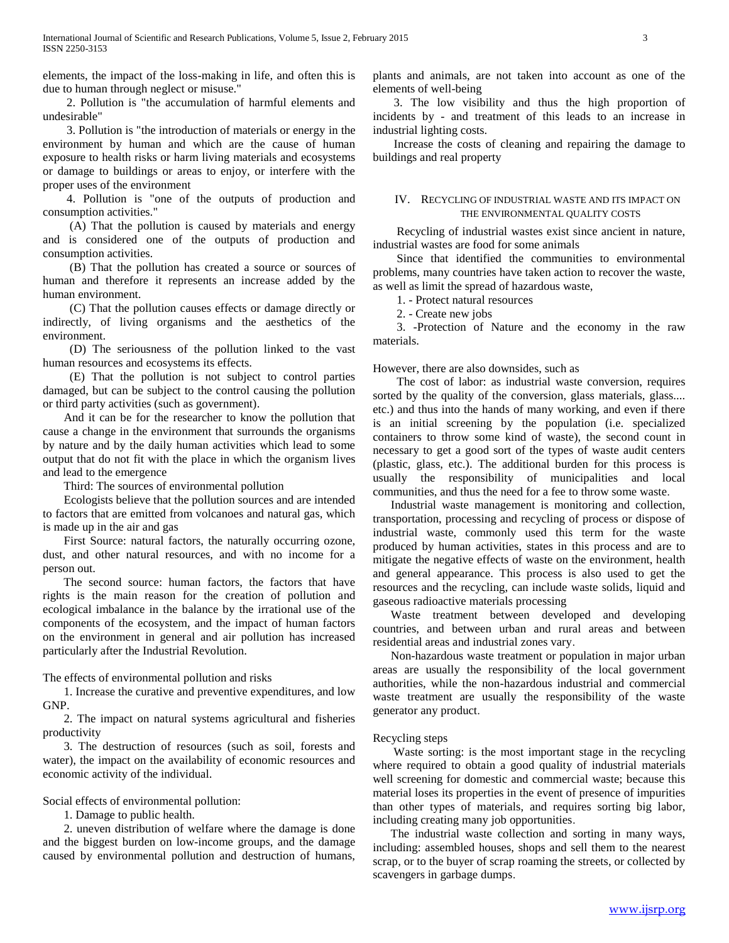elements, the impact of the loss-making in life, and often this is due to human through neglect or misuse."

 2. Pollution is "the accumulation of harmful elements and undesirable"

 3. Pollution is "the introduction of materials or energy in the environment by human and which are the cause of human exposure to health risks or harm living materials and ecosystems or damage to buildings or areas to enjoy, or interfere with the proper uses of the environment

 4. Pollution is "one of the outputs of production and consumption activities."

 (A) That the pollution is caused by materials and energy and is considered one of the outputs of production and consumption activities.

 (B) That the pollution has created a source or sources of human and therefore it represents an increase added by the human environment.

 (C) That the pollution causes effects or damage directly or indirectly, of living organisms and the aesthetics of the environment.

 (D) The seriousness of the pollution linked to the vast human resources and ecosystems its effects.

 (E) That the pollution is not subject to control parties damaged, but can be subject to the control causing the pollution or third party activities (such as government).

 And it can be for the researcher to know the pollution that cause a change in the environment that surrounds the organisms by nature and by the daily human activities which lead to some output that do not fit with the place in which the organism lives and lead to the emergence

Third: The sources of environmental pollution

 Ecologists believe that the pollution sources and are intended to factors that are emitted from volcanoes and natural gas, which is made up in the air and gas

 First Source: natural factors, the naturally occurring ozone, dust, and other natural resources, and with no income for a person out.

 The second source: human factors, the factors that have rights is the main reason for the creation of pollution and ecological imbalance in the balance by the irrational use of the components of the ecosystem, and the impact of human factors on the environment in general and air pollution has increased particularly after the Industrial Revolution.

The effects of environmental pollution and risks

 1. Increase the curative and preventive expenditures, and low GNP.

 2. The impact on natural systems agricultural and fisheries productivity

 3. The destruction of resources (such as soil, forests and water), the impact on the availability of economic resources and economic activity of the individual.

Social effects of environmental pollution:

1. Damage to public health.

 2. uneven distribution of welfare where the damage is done and the biggest burden on low-income groups, and the damage caused by environmental pollution and destruction of humans,

plants and animals, are not taken into account as one of the elements of well-being

 3. The low visibility and thus the high proportion of incidents by - and treatment of this leads to an increase in industrial lighting costs.

 Increase the costs of cleaning and repairing the damage to buildings and real property

## IV. RECYCLING OF INDUSTRIAL WASTE AND ITS IMPACT ON THE ENVIRONMENTAL QUALITY COSTS

 Recycling of industrial wastes exist since ancient in nature, industrial wastes are food for some animals

 Since that identified the communities to environmental problems, many countries have taken action to recover the waste, as well as limit the spread of hazardous waste,

1. - Protect natural resources

2. - Create new jobs

 3. -Protection of Nature and the economy in the raw materials.

However, there are also downsides, such as

 The cost of labor: as industrial waste conversion, requires sorted by the quality of the conversion, glass materials, glass.... etc.) and thus into the hands of many working, and even if there is an initial screening by the population (i.e. specialized containers to throw some kind of waste), the second count in necessary to get a good sort of the types of waste audit centers (plastic, glass, etc.). The additional burden for this process is usually the responsibility of municipalities and local communities, and thus the need for a fee to throw some waste.

 Industrial waste management is monitoring and collection, transportation, processing and recycling of process or dispose of industrial waste, commonly used this term for the waste produced by human activities, states in this process and are to mitigate the negative effects of waste on the environment, health and general appearance. This process is also used to get the resources and the recycling, can include waste solids, liquid and gaseous radioactive materials processing

 Waste treatment between developed and developing countries, and between urban and rural areas and between residential areas and industrial zones vary.

 Non-hazardous waste treatment or population in major urban areas are usually the responsibility of the local government authorities, while the non-hazardous industrial and commercial waste treatment are usually the responsibility of the waste generator any product.

# Recycling steps

 Waste sorting: is the most important stage in the recycling where required to obtain a good quality of industrial materials well screening for domestic and commercial waste; because this material loses its properties in the event of presence of impurities than other types of materials, and requires sorting big labor, including creating many job opportunities.

 The industrial waste collection and sorting in many ways, including: assembled houses, shops and sell them to the nearest scrap, or to the buyer of scrap roaming the streets, or collected by scavengers in garbage dumps.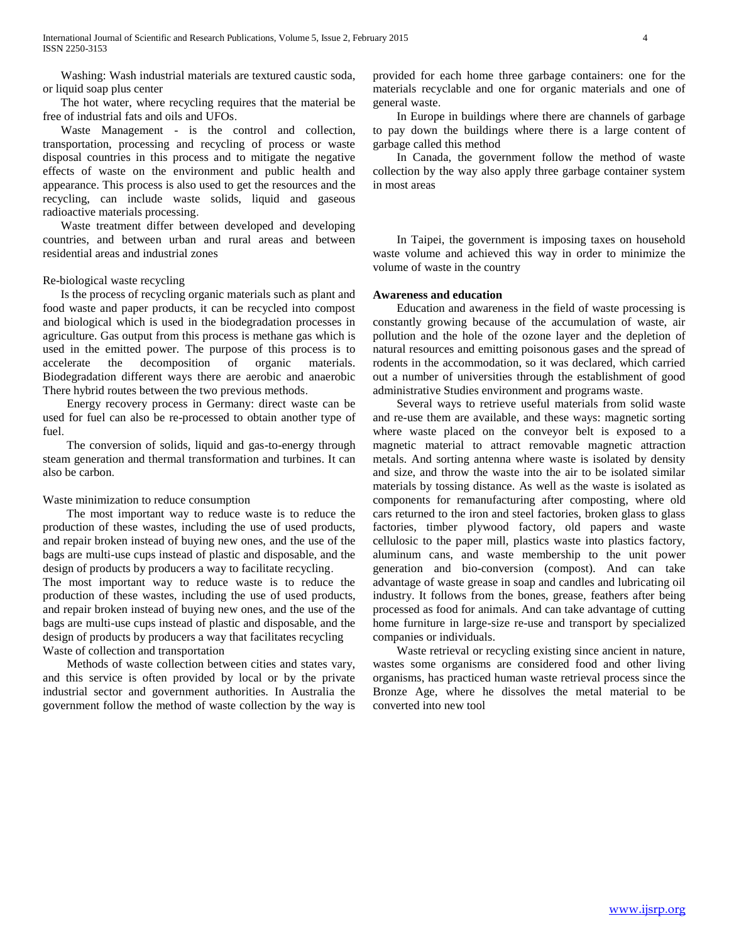Washing: Wash industrial materials are textured caustic soda, or liquid soap plus center

 The hot water, where recycling requires that the material be free of industrial fats and oils and UFOs.

 Waste Management - is the control and collection, transportation, processing and recycling of process or waste disposal countries in this process and to mitigate the negative effects of waste on the environment and public health and appearance. This process is also used to get the resources and the recycling, can include waste solids, liquid and gaseous radioactive materials processing.

 Waste treatment differ between developed and developing countries, and between urban and rural areas and between residential areas and industrial zones

## Re-biological waste recycling

 Is the process of recycling organic materials such as plant and food waste and paper products, it can be recycled into compost and biological which is used in the biodegradation processes in agriculture. Gas output from this process is methane gas which is used in the emitted power. The purpose of this process is to accelerate the decomposition of organic materials. Biodegradation different ways there are aerobic and anaerobic There hybrid routes between the two previous methods.

 Energy recovery process in Germany: direct waste can be used for fuel can also be re-processed to obtain another type of fuel.

 The conversion of solids, liquid and gas-to-energy through steam generation and thermal transformation and turbines. It can also be carbon.

#### Waste minimization to reduce consumption

 The most important way to reduce waste is to reduce the production of these wastes, including the use of used products, and repair broken instead of buying new ones, and the use of the bags are multi-use cups instead of plastic and disposable, and the design of products by producers a way to facilitate recycling.

The most important way to reduce waste is to reduce the production of these wastes, including the use of used products, and repair broken instead of buying new ones, and the use of the bags are multi-use cups instead of plastic and disposable, and the design of products by producers a way that facilitates recycling Waste of collection and transportation

 Methods of waste collection between cities and states vary, and this service is often provided by local or by the private industrial sector and government authorities. In Australia the government follow the method of waste collection by the way is

provided for each home three garbage containers: one for the materials recyclable and one for organic materials and one of general waste.

 In Europe in buildings where there are channels of garbage to pay down the buildings where there is a large content of garbage called this method

 In Canada, the government follow the method of waste collection by the way also apply three garbage container system in most areas

 In Taipei, the government is imposing taxes on household waste volume and achieved this way in order to minimize the volume of waste in the country

## **Awareness and education**

 Education and awareness in the field of waste processing is constantly growing because of the accumulation of waste, air pollution and the hole of the ozone layer and the depletion of natural resources and emitting poisonous gases and the spread of rodents in the accommodation, so it was declared, which carried out a number of universities through the establishment of good administrative Studies environment and programs waste.

 Several ways to retrieve useful materials from solid waste and re-use them are available, and these ways: magnetic sorting where waste placed on the conveyor belt is exposed to a magnetic material to attract removable magnetic attraction metals. And sorting antenna where waste is isolated by density and size, and throw the waste into the air to be isolated similar materials by tossing distance. As well as the waste is isolated as components for remanufacturing after composting, where old cars returned to the iron and steel factories, broken glass to glass factories, timber plywood factory, old papers and waste cellulosic to the paper mill, plastics waste into plastics factory, aluminum cans, and waste membership to the unit power generation and bio-conversion (compost). And can take advantage of waste grease in soap and candles and lubricating oil industry. It follows from the bones, grease, feathers after being processed as food for animals. And can take advantage of cutting home furniture in large-size re-use and transport by specialized companies or individuals.

 Waste retrieval or recycling existing since ancient in nature, wastes some organisms are considered food and other living organisms, has practiced human waste retrieval process since the Bronze Age, where he dissolves the metal material to be converted into new tool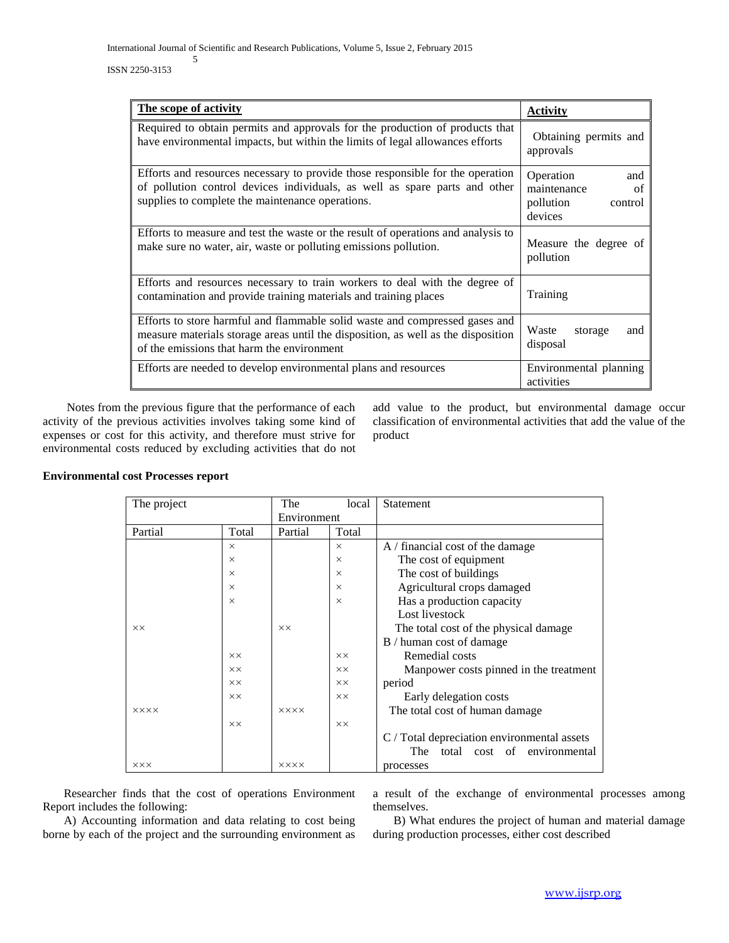## ISSN 2250-3153

| The scope of activity                                                                                                                                                                                            | Activity                                                                 |  |
|------------------------------------------------------------------------------------------------------------------------------------------------------------------------------------------------------------------|--------------------------------------------------------------------------|--|
| Required to obtain permits and approvals for the production of products that<br>have environmental impacts, but within the limits of legal allowances efforts                                                    | Obtaining permits and<br>approvals                                       |  |
| Efforts and resources necessary to provide those responsible for the operation<br>of pollution control devices individuals, as well as spare parts and other<br>supplies to complete the maintenance operations. | Operation<br>and<br>maintenance<br>of<br>pollution<br>control<br>devices |  |
| Efforts to measure and test the waste or the result of operations and analysis to<br>make sure no water, air, waste or polluting emissions pollution.                                                            | Measure the degree of<br>pollution                                       |  |
| Efforts and resources necessary to train workers to deal with the degree of<br>contamination and provide training materials and training places                                                                  | Training                                                                 |  |
| Efforts to store harmful and flammable solid waste and compressed gases and<br>measure materials storage areas until the disposition, as well as the disposition<br>of the emissions that harm the environment   | Waste<br>storage<br>and<br>disposal                                      |  |
| Efforts are needed to develop environmental plans and resources                                                                                                                                                  | Environmental planning<br>activities                                     |  |

 Notes from the previous figure that the performance of each activity of the previous activities involves taking some kind of expenses or cost for this activity, and therefore must strive for environmental costs reduced by excluding activities that do not add value to the product, but environmental damage occur classification of environmental activities that add the value of the product

| The project |                | The            | local          | Statement                                   |
|-------------|----------------|----------------|----------------|---------------------------------------------|
|             |                | Environment    |                |                                             |
| Partial     | Total          | Partial        | Total          |                                             |
|             | $\times$       |                | $\times$       | $A /$ financial cost of the damage          |
|             | $\times$       |                | $\times$       | The cost of equipment                       |
|             | $\times$       |                | $\times$       | The cost of buildings                       |
|             | $\times$       |                | $\times$       | Agricultural crops damaged                  |
|             | $\times$       |                | $\times$       | Has a production capacity                   |
|             |                |                |                | Lost livestock                              |
| <b>XX</b>   |                | $\times\times$ |                | The total cost of the physical damage       |
|             |                |                |                | B / human cost of damage                    |
|             | $\times\times$ |                | <b>XX</b>      | Remedial costs                              |
|             | $\times\times$ |                | $\times\times$ | Manpower costs pinned in the treatment      |
|             | $\times\times$ |                | XX             | period                                      |
|             | <b>XX</b>      |                | XX             | Early delegation costs                      |
| <b>XXXX</b> |                | <b>XXXX</b>    |                | The total cost of human damage              |
|             | $\times\times$ |                | $\times\times$ |                                             |
|             |                |                |                | C / Total depreciation environmental assets |
|             |                |                |                | The<br>total<br>cost of environmental       |
| <b>XXX</b>  |                | <b>XXXX</b>    |                | processes                                   |

# **Environmental cost Processes report**

 Researcher finds that the cost of operations Environment Report includes the following:

 A) Accounting information and data relating to cost being borne by each of the project and the surrounding environment as

a result of the exchange of environmental processes among themselves.

 B) What endures the project of human and material damage during production processes, either cost described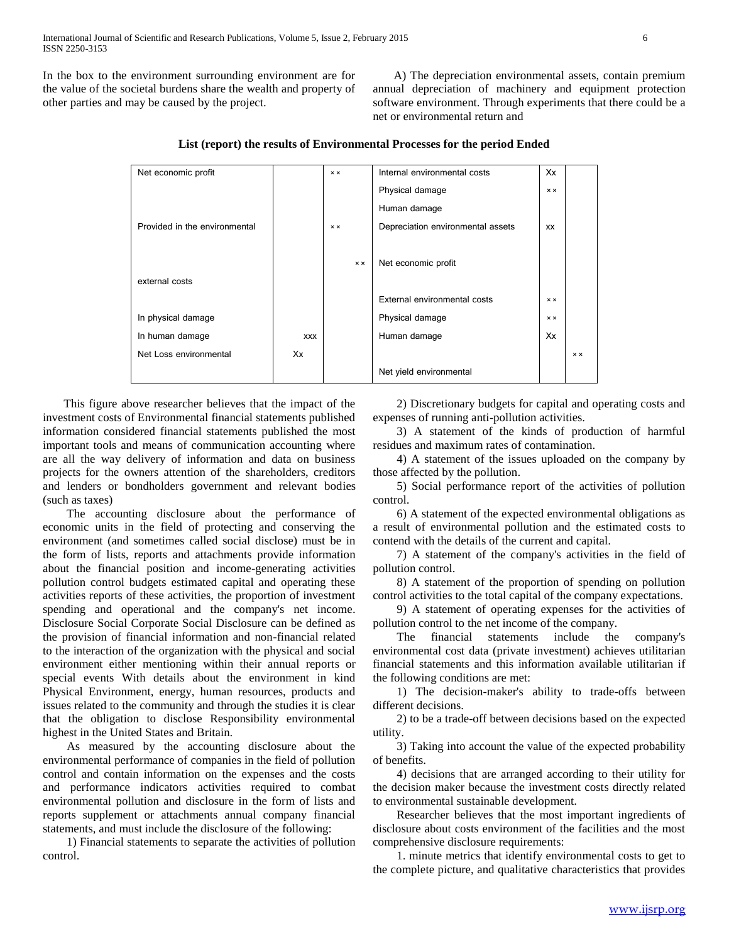In the box to the environment surrounding environment are for the value of the societal burdens share the wealth and property of other parties and may be caused by the project.

 A) The depreciation environmental assets, contain premium annual depreciation of machinery and equipment protection software environment. Through experiments that there could be a net or environmental return and

| Net economic profit           |            | $\times$ $\times$ |                   | Internal environmental costs      | Xx                |                   |
|-------------------------------|------------|-------------------|-------------------|-----------------------------------|-------------------|-------------------|
|                               |            |                   |                   | Physical damage                   | $\times$ $\times$ |                   |
|                               |            |                   |                   | Human damage                      |                   |                   |
| Provided in the environmental |            | $\times$ $\times$ |                   | Depreciation environmental assets | XX                |                   |
|                               |            |                   |                   |                                   |                   |                   |
|                               |            |                   | $\times$ $\times$ | Net economic profit               |                   |                   |
| external costs                |            |                   |                   |                                   |                   |                   |
|                               |            |                   |                   | External environmental costs      | $\times$ $\times$ |                   |
| In physical damage            |            |                   |                   | Physical damage                   | $\times$ $\times$ |                   |
| In human damage               | <b>XXX</b> |                   |                   | Human damage                      | Xx                |                   |
| Net Loss environmental        | Xx         |                   |                   |                                   |                   | $\times$ $\times$ |
|                               |            |                   |                   | Net yield environmental           |                   |                   |

# **List (report) the results of Environmental Processes for the period Ended**

 This figure above researcher believes that the impact of the investment costs of Environmental financial statements published information considered financial statements published the most important tools and means of communication accounting where are all the way delivery of information and data on business projects for the owners attention of the shareholders, creditors and lenders or bondholders government and relevant bodies (such as taxes)

 The accounting disclosure about the performance of economic units in the field of protecting and conserving the environment (and sometimes called social disclose) must be in the form of lists, reports and attachments provide information about the financial position and income-generating activities pollution control budgets estimated capital and operating these activities reports of these activities, the proportion of investment spending and operational and the company's net income. Disclosure Social Corporate Social Disclosure can be defined as the provision of financial information and non-financial related to the interaction of the organization with the physical and social environment either mentioning within their annual reports or special events With details about the environment in kind Physical Environment, energy, human resources, products and issues related to the community and through the studies it is clear that the obligation to disclose Responsibility environmental highest in the United States and Britain.

 As measured by the accounting disclosure about the environmental performance of companies in the field of pollution control and contain information on the expenses and the costs and performance indicators activities required to combat environmental pollution and disclosure in the form of lists and reports supplement or attachments annual company financial statements, and must include the disclosure of the following:

 1) Financial statements to separate the activities of pollution control.

 2) Discretionary budgets for capital and operating costs and expenses of running anti-pollution activities.

 3) A statement of the kinds of production of harmful residues and maximum rates of contamination.

 4) A statement of the issues uploaded on the company by those affected by the pollution.

 5) Social performance report of the activities of pollution control.

 6) A statement of the expected environmental obligations as a result of environmental pollution and the estimated costs to contend with the details of the current and capital.

 7) A statement of the company's activities in the field of pollution control.

 8) A statement of the proportion of spending on pollution control activities to the total capital of the company expectations.

 9) A statement of operating expenses for the activities of pollution control to the net income of the company.

 The financial statements include the company's environmental cost data (private investment) achieves utilitarian financial statements and this information available utilitarian if the following conditions are met:

 1) The decision-maker's ability to trade-offs between different decisions.

 2) to be a trade-off between decisions based on the expected utility.

 3) Taking into account the value of the expected probability of benefits.

 4) decisions that are arranged according to their utility for the decision maker because the investment costs directly related to environmental sustainable development.

 Researcher believes that the most important ingredients of disclosure about costs environment of the facilities and the most comprehensive disclosure requirements:

 1. minute metrics that identify environmental costs to get to the complete picture, and qualitative characteristics that provides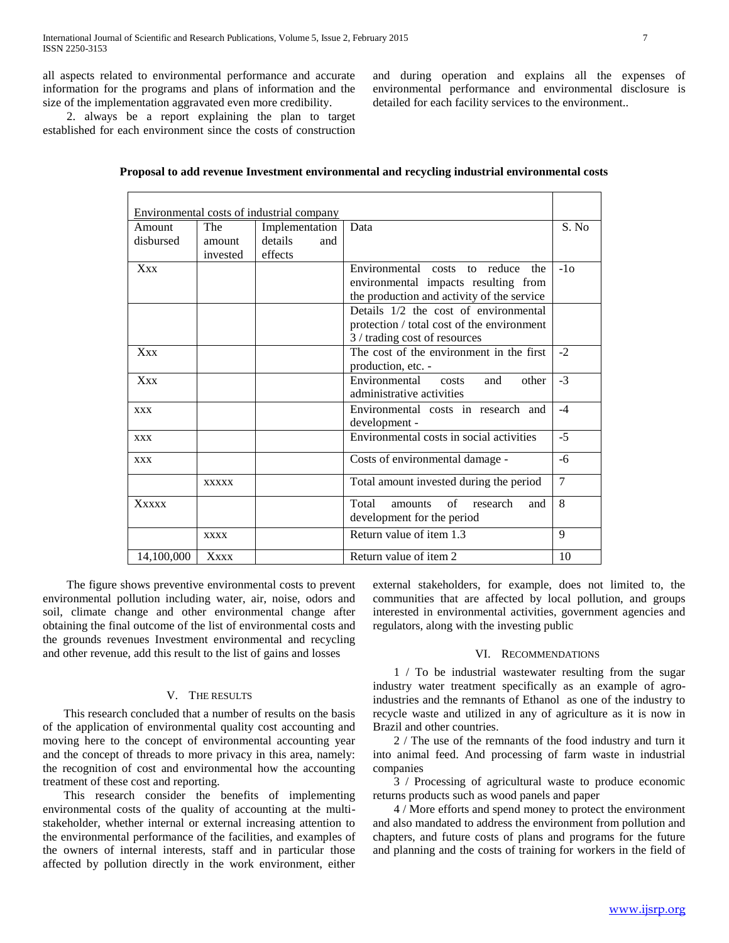all aspects related to environmental performance and accurate information for the programs and plans of information and the size of the implementation aggravated even more credibility.

and during operation and explains all the expenses of environmental performance and environmental disclosure is detailed for each facility services to the environment..

 2. always be a report explaining the plan to target established for each environment since the costs of construction

| Environmental costs of industrial company |              |                |     |                                                   |       |
|-------------------------------------------|--------------|----------------|-----|---------------------------------------------------|-------|
| Amount                                    | The          | Implementation |     | Data                                              | S. No |
| disbursed                                 | amount       | details        | and |                                                   |       |
|                                           | invested     | effects        |     |                                                   |       |
| Xxx                                       |              |                |     | Environmental costs to reduce<br>the              | $-1o$ |
|                                           |              |                |     | environmental impacts resulting from              |       |
|                                           |              |                |     | the production and activity of the service        |       |
|                                           |              |                |     | Details 1/2 the cost of environmental             |       |
|                                           |              |                |     | protection / total cost of the environment        |       |
|                                           |              |                |     | 3 / trading cost of resources                     |       |
| Xxx                                       |              |                |     | The cost of the environment in the first          | $-2$  |
|                                           |              |                |     | production, etc. -                                |       |
| <b>Xxx</b>                                |              |                |     | Environmental<br>and<br>other<br>costs            | $-3$  |
|                                           |              |                |     | administrative activities                         |       |
| <b>XXX</b>                                |              |                |     | Environmental costs in research and               | $-4$  |
|                                           |              |                |     | development -                                     |       |
| <b>XXX</b>                                |              |                |     | Environmental costs in social activities          | $-5$  |
| <b>XXX</b>                                |              |                |     | Costs of environmental damage -                   | -6    |
|                                           | <b>XXXXX</b> |                |     | Total amount invested during the period           | 7     |
| Xxxxx                                     |              |                |     | Total<br>$\sigma$ f<br>research<br>amounts<br>and | 8     |
|                                           |              |                |     | development for the period                        |       |
|                                           | <b>XXXX</b>  |                |     | Return value of item 1.3                          | 9     |
| 14,100,000                                | Xxxx         |                |     | Return value of item 2                            | 10    |

| Proposal to add revenue Investment environmental and recycling industrial environmental costs |  |  |
|-----------------------------------------------------------------------------------------------|--|--|
|-----------------------------------------------------------------------------------------------|--|--|

 The figure shows preventive environmental costs to prevent environmental pollution including water, air, noise, odors and soil, climate change and other environmental change after obtaining the final outcome of the list of environmental costs and the grounds revenues Investment environmental and recycling and other revenue, add this result to the list of gains and losses

## V. THE RESULTS

 This research concluded that a number of results on the basis of the application of environmental quality cost accounting and moving here to the concept of environmental accounting year and the concept of threads to more privacy in this area, namely: the recognition of cost and environmental how the accounting treatment of these cost and reporting.

 This research consider the benefits of implementing environmental costs of the quality of accounting at the multistakeholder, whether internal or external increasing attention to the environmental performance of the facilities, and examples of the owners of internal interests, staff and in particular those affected by pollution directly in the work environment, either

external stakeholders, for example, does not limited to, the communities that are affected by local pollution, and groups interested in environmental activities, government agencies and regulators, along with the investing public

#### VI. RECOMMENDATIONS

 1 / To be industrial wastewater resulting from the sugar industry water treatment specifically as an example of agroindustries and the remnants of Ethanol as one of the industry to recycle waste and utilized in any of agriculture as it is now in Brazil and other countries.

 2 / The use of the remnants of the food industry and turn it into animal feed. And processing of farm waste in industrial companies

 3 / Processing of agricultural waste to produce economic returns products such as wood panels and paper

 4 / More efforts and spend money to protect the environment and also mandated to address the environment from pollution and chapters, and future costs of plans and programs for the future and planning and the costs of training for workers in the field of